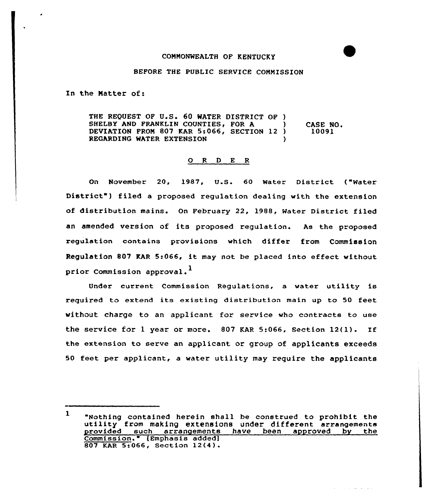## BEFORE THE PUBLIC SERVICE COMMISSION

In the Matter of:

THE REQUEST OF U.S. 60 WATER DISTRICT OF ) SHELBY AND FRANKLIN COUNTIES, FOR A DEVIATION FROM 807 KAR 5:066, SECTION 12) REGARDING WATER EXTENSION CASE NO. 10091

## 0 <sup>R</sup> <sup>D</sup> E <sup>R</sup>

On November 20, 1987, U.S. <sup>60</sup> Water District ("Water District") filed a proposed regulation dealing with the extension of distribution mains. On February 22, 1988, Mater District filed an amended version of its proposed regulation. As the proposed regulation contains provisions which differ from Commission Regulation <sup>807</sup> KAR 5:066, it may not be placed into effect without prior Commission approval.<sup>1</sup>

Under current Commission Regulations, a water utility is required to extend its existing distribution main up to 50 feet without charge to an applicant for service who contracts to use the service for <sup>1</sup> year or more. 807 KAR 5:066, section 12(1). If the extension to serve an applicant or group of applicants exceeds 50 feet per applicant, a water utility may require the applicants

 $\mathbf{1}$ "Nothing contained herein shall be construed to prohibit the utility from making extensions under different arrangements provided such arrangements have been approved by the Commission." (Emphasis addedl 807 KAR 5:066, Section 12(4}.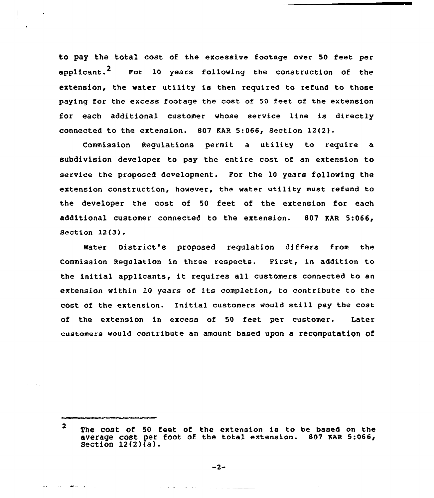to pay the total cost of the excessive footage over 50 feet per applicant.<sup>2</sup> Por 10 years following the construction of the extension, the water utility is then required to refund to those paying for the excess footage the cost of 50 feet of the extension for each additional customer whose service line is directly connected to the extension. 807 EAR 5:066, Section 12(2).

Commission Regulations permit a utility to require a subdivision developer to pay the entire cost of an extension to service the proposed development. For the 10 years following the extension construction, however, the water utility must refund to the developer the cost of 50 feet of the extension for each additional customer connected to the extension. 807 EAR 5:066, section 12(3).

Water District's proposed regulation differs from the Commission Regulation in three respects. First, in addition. to the initial applicants, it requires all customers connected to an extension within 10 years of its completion, to contribute to the cost of the extension. Initial customers would still pay the cost of the extension in excess of 50 feet per customer. Later customers would contribute an amount based upon a recomputation of

the same of the control of the same of the

 $\overline{2}$ The cost of <sup>50</sup> feet of the extension is to be based on the average cost per foot of the total extension. 807 EAR 5:066, Section  $12(2)\bar{d}$ .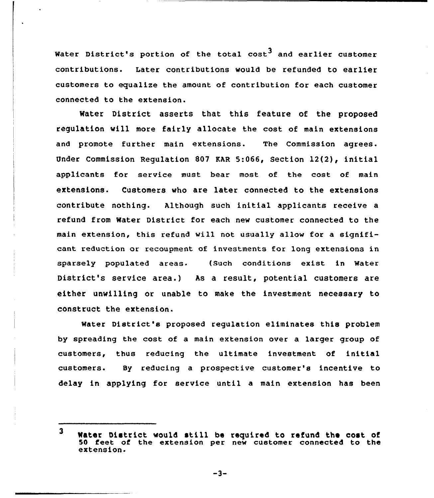Water District's portion of the total  $cost^3$  and earlier customer contributions. Later contributions would be refunded to earlier customers to equalize the amount of contribution for each customer connected to the extension.

Water District asserts that this feature of the proposed regulation will more fairly allocate the cost of main extensions and promote further main extensions. The Commission agrees. Under Commission Regulation 807 RAR 5:066, Section 12(2), initial applicants for service must bear most of the cost of main extensions. Customers who are later connected to the extensions contribute nothing. Although such initial applicants receive a refund from Water District for each new customer connected to the main extension, this refund will not usually allow for a significant reduction or recoupment of investments for long extensions in sparsely populated areas. (Such conditions exist in Water District's service area.) As a result, potential customers are either unwilling or unable to make the investment necessary to construct the extension.

Water District's proposed regulation eliminates this problem by spreading the cost of a main extension over a larger group of customers, thus reducing the ultimate investment of initial customers. By reducing a prospective customer's incentive to delay in applying for service until a main extension has been

 $-3-$ 

 $\overline{\mathbf{3}}$ Mater District would still be required to refund the cost of 50 feet of the extension per new customer connected to the extension.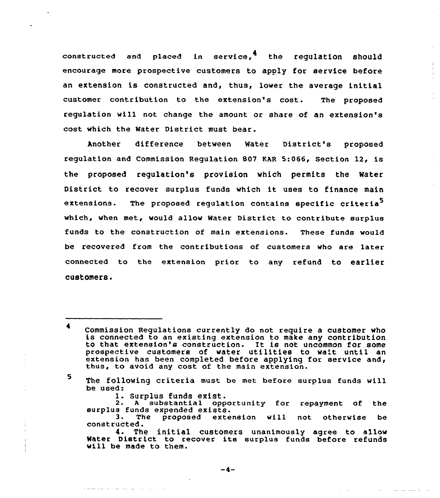constructed and placed in service.<sup>4</sup> the regulation should encourage more prospective customers to apply for service before an extension is constructed and, thus, lower the average initial customer contribution to the extension's cost. The proposed regulation will not change the amount or share of an extension's cost which the Mater District must bear.

Another difference between Water District's propose regulation and Commission Regulation 807 EAR 5:066, Section 12, is the proposed regulation'e provision which permits the Mater District to recover surplus funds which it uses to finance main extensions. The proposed regulation contains specific criteria<sup>5</sup> which, when met, would allow Mater District to contribute surplus funds to the construction of main extensions. These funds would be recovered from the contributions of customers who are later connected to the extension prior to any refund to earlier customers.

5

1. Surplus funds exist.<br>2. A substantial opportunity for repayment of the<br>burplus funds expended exists.<br>3. The proposed extension will not otherwise be

constructed.<br>4. The initial customers unanimously agree to allow Water District to recover its surplus funds before refunds will be made to them.

 $\blacktriangleleft$ Commission Regulations currently do not require <sup>a</sup> customer who is connected to an existing extension to make any contribution to that extension's construction. It is not uncommon for some prospective customers of water utilities to wa't until an extension has been completed before applying for service and, thus, to avoid any cost of the main extension.

The following criteria must be met before surplus funds will<br>be used: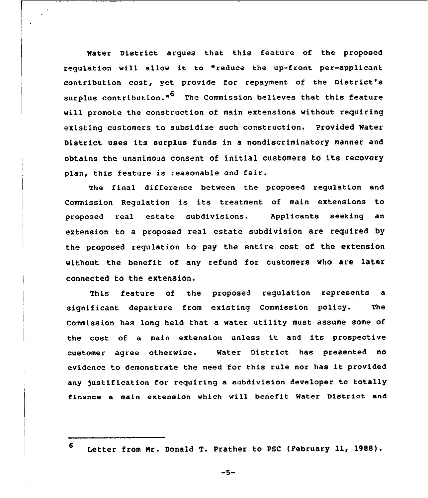Water District argues that this feature of the proposed regulation will allow it to "reduce the up-front per-applicant contribution cost, yet provide for repayment of the District'e surplus contribution."<sup>6</sup> The Commission believes that this feature will promote the construction of main extensions without requiring existing customers to subsidize such construction. Provided Water District uses its surplus funds in <sup>a</sup> nondiscriminatory manner and obtains the unanimous consent of initial customers to its recovery plan, this feature is reasonable and fair.

The final difference between the proposed regulation and Commission Regulation is its treatment of main extensions to proposed real estate subdivisions. Applicants seeking an extension to a proposed real estate subdivision are required by the proposed regulation to pay the entire cost of the extension without the benefit of any refund for customers who are later connected to the extension.

This feature of the proposed regulation represents a significant departure from existing Commission policy. The Commission has long held that a water utility must assume some of the cost of <sup>a</sup> main extension unless it and its prospective customer agree otherwise. Water District has presented no evidence to demonstrate the need for this rule nor has it provided any justification for requiring a subdivision developer to totally finance a main extension which will benefit Mater Dietrict and

<sup>6</sup> Letter from Mr. Donald T. Prather to PSC (Pebruary ll, 1988).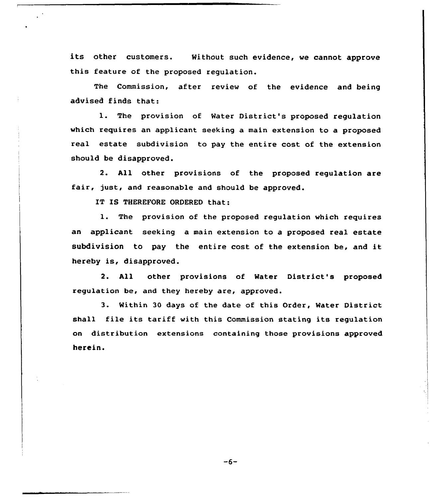its other customers. Without such evidence, we cannot approve this feature of the proposed regulation.

The Commission, after review of the evidence and being advised finds that:

1. The provision of Water District's proposed regulation which requires an applicant seeking a main extension to a proposed real estate subdivision to pay the entire cost of the extension should be disapproved.

2. All other provisions of the proposed regulation are fair, just, and reasonable and should be approved.

IT IS THEREFORE ORDERED that:

l. The provision of the proposed regulation which requires an applicant seeking a main extension to a proposed real estate subdivision to pay the entire cost of the extension be, and it hereby is, disapproved.

2. All other provisions of Water District's proposed regulation be, and they hereby are, approved.

3. Within 30 days of the date of this Order, Water District shall file its tariff with this Commission stating its regulation on distribution extensions containing those provisions approved herein.

 $-6-$